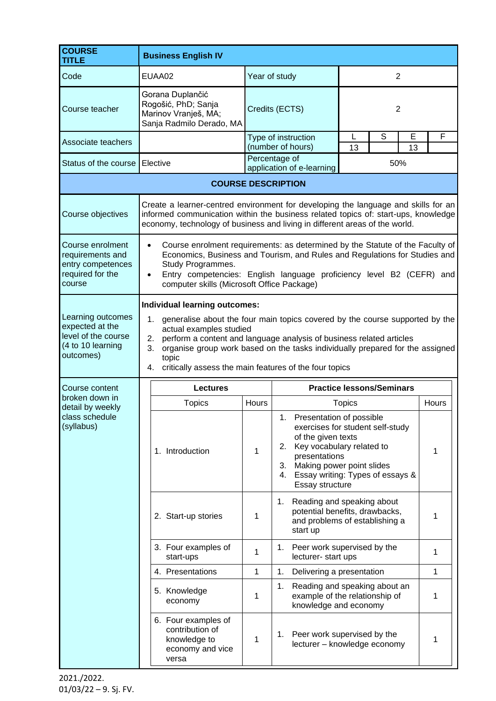| <b>COURSE</b><br><b>TITLE</b>                                                                 | <b>Business English IV</b>                                                                                                                                                                                                                                                                                                                                                             |                                          |                                                                                                      |                                                                                                                                |              |  |
|-----------------------------------------------------------------------------------------------|----------------------------------------------------------------------------------------------------------------------------------------------------------------------------------------------------------------------------------------------------------------------------------------------------------------------------------------------------------------------------------------|------------------------------------------|------------------------------------------------------------------------------------------------------|--------------------------------------------------------------------------------------------------------------------------------|--------------|--|
| Code                                                                                          | EUAA02                                                                                                                                                                                                                                                                                                                                                                                 |                                          | Year of study                                                                                        | $\overline{2}$                                                                                                                 |              |  |
| Course teacher                                                                                | Gorana Duplančić<br>Rogošić, PhD; Sanja<br>Marinov Vranješ, MA;<br>Sanja Radmilo Derado, MA                                                                                                                                                                                                                                                                                            |                                          | Credits (ECTS)                                                                                       | $\overline{2}$                                                                                                                 |              |  |
| Associate teachers                                                                            |                                                                                                                                                                                                                                                                                                                                                                                        | Type of instruction<br>(number of hours) |                                                                                                      | S<br>L<br>13                                                                                                                   | E<br>F<br>13 |  |
| Status of the course                                                                          | Elective                                                                                                                                                                                                                                                                                                                                                                               |                                          | Percentage of<br>application of e-learning                                                           | 50%                                                                                                                            |              |  |
| <b>COURSE DESCRIPTION</b>                                                                     |                                                                                                                                                                                                                                                                                                                                                                                        |                                          |                                                                                                      |                                                                                                                                |              |  |
| Course objectives                                                                             | Create a learner-centred environment for developing the language and skills for an<br>informed communication within the business related topics of: start-ups, knowledge<br>economy, technology of business and living in different areas of the world.                                                                                                                                |                                          |                                                                                                      |                                                                                                                                |              |  |
| Course enrolment<br>requirements and<br>entry competences<br>required for the<br>course       | Course enrolment requirements: as determined by the Statute of the Faculty of<br>$\bullet$<br>Economics, Business and Tourism, and Rules and Regulations for Studies and<br>Study Programmes.<br>Entry competencies: English language proficiency level B2 (CEFR) and<br>$\bullet$<br>computer skills (Microsoft Office Package)                                                       |                                          |                                                                                                      |                                                                                                                                |              |  |
| Learning outcomes<br>expected at the<br>level of the course<br>(4 to 10 learning<br>outcomes) | Individual learning outcomes:<br>1. generalise about the four main topics covered by the course supported by the<br>actual examples studied<br>perform a content and language analysis of business related articles<br>2.<br>organise group work based on the tasks individually prepared for the assigned<br>3.<br>topic<br>4. critically assess the main features of the four topics |                                          |                                                                                                      |                                                                                                                                |              |  |
| Course content                                                                                | <b>Lectures</b>                                                                                                                                                                                                                                                                                                                                                                        | <b>Practice lessons/Seminars</b>         |                                                                                                      |                                                                                                                                |              |  |
| broken down in<br>detail by weekly<br>class schedule<br>(syllabus)                            | <b>Topics</b>                                                                                                                                                                                                                                                                                                                                                                          | Hours                                    |                                                                                                      | <b>Topics</b>                                                                                                                  | Hours        |  |
|                                                                                               | 1. Introduction                                                                                                                                                                                                                                                                                                                                                                        | 1                                        | Presentation of possible<br>of the given texts<br>2.<br>presentations<br>3.<br>4.<br>Essay structure | exercises for student self-study<br>Key vocabulary related to<br>Making power point slides<br>Essay writing: Types of essays & | 1            |  |
|                                                                                               | 2. Start-up stories                                                                                                                                                                                                                                                                                                                                                                    | 1                                        | 1.<br>start up                                                                                       | Reading and speaking about<br>potential benefits, drawbacks,<br>and problems of establishing a                                 | 1            |  |
|                                                                                               | 3. Four examples of<br>start-ups                                                                                                                                                                                                                                                                                                                                                       | 1                                        | 1. Peer work supervised by the<br>lecturer-start ups                                                 |                                                                                                                                | 1            |  |
|                                                                                               | 4. Presentations                                                                                                                                                                                                                                                                                                                                                                       | 1                                        | Delivering a presentation<br>1.                                                                      |                                                                                                                                | 1            |  |
|                                                                                               | 5. Knowledge<br>economy                                                                                                                                                                                                                                                                                                                                                                | 1                                        | 1.<br>knowledge and economy                                                                          | Reading and speaking about an<br>example of the relationship of                                                                | 1            |  |
|                                                                                               | 6. Four examples of<br>contribution of<br>knowledge to<br>economy and vice<br>versa                                                                                                                                                                                                                                                                                                    | 1                                        | 1.                                                                                                   | Peer work supervised by the<br>lecturer - knowledge economy                                                                    | 1            |  |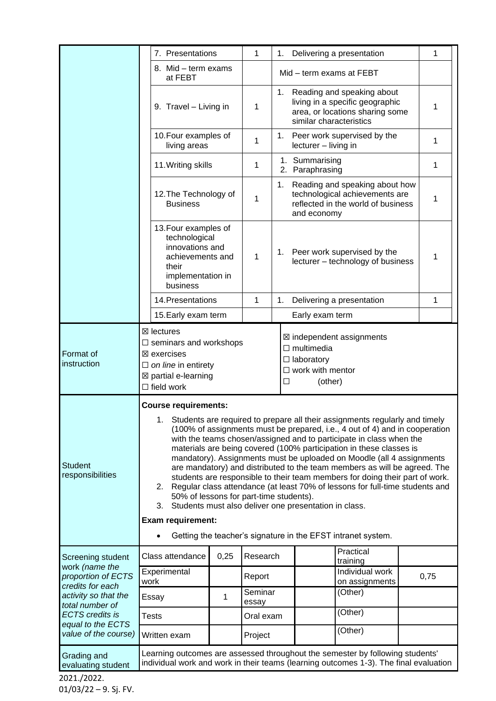|                                                                                                                                                                                                 | 7. Presentations                                                                                                                                                                                                                                                                                                                                                                                                                                                                                                                                                                                                                                                                                                                                                                                                                                                             |      | 1                | 1.                                |                         | Delivering a presentation                                                                              |   | 1    |
|-------------------------------------------------------------------------------------------------------------------------------------------------------------------------------------------------|------------------------------------------------------------------------------------------------------------------------------------------------------------------------------------------------------------------------------------------------------------------------------------------------------------------------------------------------------------------------------------------------------------------------------------------------------------------------------------------------------------------------------------------------------------------------------------------------------------------------------------------------------------------------------------------------------------------------------------------------------------------------------------------------------------------------------------------------------------------------------|------|------------------|-----------------------------------|-------------------------|--------------------------------------------------------------------------------------------------------|---|------|
|                                                                                                                                                                                                 | 8. Mid - term exams<br>at FEBT                                                                                                                                                                                                                                                                                                                                                                                                                                                                                                                                                                                                                                                                                                                                                                                                                                               |      |                  | Mid - term exams at FEBT          |                         |                                                                                                        |   |      |
|                                                                                                                                                                                                 | 9. Travel - Living in                                                                                                                                                                                                                                                                                                                                                                                                                                                                                                                                                                                                                                                                                                                                                                                                                                                        |      | 1                |                                   | similar characteristics | 1. Reading and speaking about<br>living in a specific geographic<br>area, or locations sharing some    |   | 1    |
|                                                                                                                                                                                                 | 10. Four examples of<br>living areas                                                                                                                                                                                                                                                                                                                                                                                                                                                                                                                                                                                                                                                                                                                                                                                                                                         |      | 1                |                                   | lecturer - living in    | 1. Peer work supervised by the                                                                         |   | 1    |
|                                                                                                                                                                                                 | 11. Writing skills                                                                                                                                                                                                                                                                                                                                                                                                                                                                                                                                                                                                                                                                                                                                                                                                                                                           |      | 1                | 1. Summarising<br>2. Paraphrasing |                         |                                                                                                        | 1 |      |
|                                                                                                                                                                                                 | 12. The Technology of<br><b>Business</b>                                                                                                                                                                                                                                                                                                                                                                                                                                                                                                                                                                                                                                                                                                                                                                                                                                     |      | 1                | 1.                                | and economy             | Reading and speaking about how<br>technological achievements are<br>reflected in the world of business |   | 1    |
|                                                                                                                                                                                                 | 13. Four examples of<br>technological<br>innovations and<br>achievements and<br>their<br>implementation in<br>business                                                                                                                                                                                                                                                                                                                                                                                                                                                                                                                                                                                                                                                                                                                                                       |      | 1                |                                   |                         | 1. Peer work supervised by the<br>lecturer - technology of business                                    |   | 1    |
|                                                                                                                                                                                                 | 14. Presentations                                                                                                                                                                                                                                                                                                                                                                                                                                                                                                                                                                                                                                                                                                                                                                                                                                                            |      | 1                | 1.                                |                         | Delivering a presentation                                                                              |   | 1    |
|                                                                                                                                                                                                 | 15. Early exam term                                                                                                                                                                                                                                                                                                                                                                                                                                                                                                                                                                                                                                                                                                                                                                                                                                                          |      |                  |                                   | Early exam term         |                                                                                                        |   |      |
| Format of<br>instruction                                                                                                                                                                        | $\boxtimes$ lectures<br>⊠ independent assignments<br>$\Box$ seminars and workshops<br>$\Box$ multimedia<br>$\boxtimes$ exercises<br>$\Box$ laboratory<br>$\Box$ on line in entirety<br>$\Box$ work with mentor<br>⊠ partial e-learning<br>(other)<br>□<br>$\Box$ field work                                                                                                                                                                                                                                                                                                                                                                                                                                                                                                                                                                                                  |      |                  |                                   |                         |                                                                                                        |   |      |
| <b>Student</b><br>responsibilities                                                                                                                                                              | <b>Course requirements:</b><br>Students are required to prepare all their assignments regularly and timely<br>1.<br>(100% of assignments must be prepared, i.e., 4 out of 4) and in cooperation<br>with the teams chosen/assigned and to participate in class when the<br>materials are being covered (100% participation in these classes is<br>mandatory). Assignments must be uploaded on Moodle (all 4 assignments<br>are mandatory) and distributed to the team members as will be agreed. The<br>students are responsible to their team members for doing their part of work.<br>2. Regular class attendance (at least 70% of lessons for full-time students and<br>50% of lessons for part-time students).<br>Students must also deliver one presentation in class.<br>3.<br><b>Exam requirement:</b><br>Getting the teacher's signature in the EFST intranet system. |      |                  |                                   |                         |                                                                                                        |   |      |
| Screening student<br>work (name the<br>proportion of ECTS<br>credits for each<br>activity so that the<br>total number of<br><b>ECTS</b> credits is<br>equal to the ECTS<br>value of the course) | Class attendance                                                                                                                                                                                                                                                                                                                                                                                                                                                                                                                                                                                                                                                                                                                                                                                                                                                             | 0,25 | Research         |                                   |                         | Practical<br>training                                                                                  |   |      |
|                                                                                                                                                                                                 | Experimental<br>work                                                                                                                                                                                                                                                                                                                                                                                                                                                                                                                                                                                                                                                                                                                                                                                                                                                         |      | Report           |                                   |                         | Individual work<br>on assignments                                                                      |   | 0,75 |
|                                                                                                                                                                                                 | Essay                                                                                                                                                                                                                                                                                                                                                                                                                                                                                                                                                                                                                                                                                                                                                                                                                                                                        | 1    | Seminar<br>essay |                                   |                         | (Other)                                                                                                |   |      |
|                                                                                                                                                                                                 | <b>Tests</b>                                                                                                                                                                                                                                                                                                                                                                                                                                                                                                                                                                                                                                                                                                                                                                                                                                                                 |      | Oral exam        |                                   |                         | (Other)                                                                                                |   |      |
|                                                                                                                                                                                                 | Written exam                                                                                                                                                                                                                                                                                                                                                                                                                                                                                                                                                                                                                                                                                                                                                                                                                                                                 |      | Project          |                                   |                         | (Other)                                                                                                |   |      |
| Grading and<br>evaluating student                                                                                                                                                               | Learning outcomes are assessed throughout the semester by following students'<br>individual work and work in their teams (learning outcomes 1-3). The final evaluation                                                                                                                                                                                                                                                                                                                                                                                                                                                                                                                                                                                                                                                                                                       |      |                  |                                   |                         |                                                                                                        |   |      |